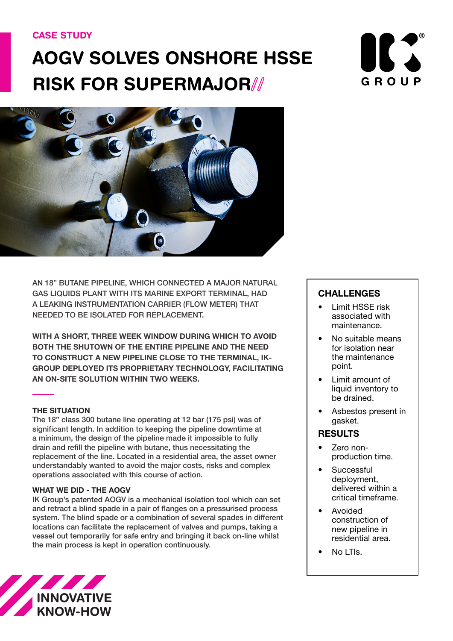## CASE STUDY

# AOGV SOLVES ONSHORE HSSE RISK FOR SUPERMAJOR//





AN 18" BUTANE PIPELINE, WHICH CONNECTED A MAJOR NATURAL GAS LIQUIDS PLANT WITH ITS MARINE EXPORT TERMINAL, HAD A LEAKING INSTRUMENTATION CARRIER (FLOW METER) THAT NEEDED TO BE ISOLATED FOR REPLACEMENT.

**WITH A SHORT, THREE WEEK WINDOW DURING WHICH TO AVOID BOTH THE SHUTOWN OF THE ENTIRE PIPELINE AND THE NEED TO CONSTRUCT A NEW PIPELINE CLOSE TO THE TERMINAL, IK-GROUP DEPLOYED ITS PROPRIETARY TECHNOLOGY, FACILITATING AN ON-SITE SOLUTION WITHIN TWO WEEKS.**

#### **THE SITUATION**

The 18" class 300 butane line operating at 12 bar (175 psi) was of significant length. In addition to keeping the pipeline downtime at a minimum, the design of the pipeline made it impossible to fully drain and refill the pipeline with butane, thus necessitating the replacement of the line. Located in a residential area, the asset owner understandably wanted to avoid the major costs, risks and complex operations associated with this course of action.

#### **WHAT WE DID - THE AOGV**

IK Group's patented AOGV is a mechanical isolation tool which can set and retract a blind spade in a pair of flanges on a pressurised process system. The blind spade or a combination of several spades in different locations can facilitate the replacement of valves and pumps, taking a vessel out temporarily for safe entry and bringing it back on-line whilst the main process is kept in operation continuously.



## **CHALLENGES**

- Limit HSSE risk associated with maintenance.
- No suitable means for isolation near the maintenance point.
- Limit amount of liquid inventory to be drained.
- Asbestos present in gasket.

## RESULTS

- Zero nonproduction time.
- **Successful** deployment, delivered within a critical timeframe.
- Avoided construction of new pipeline in residential area.
- No LTIs.